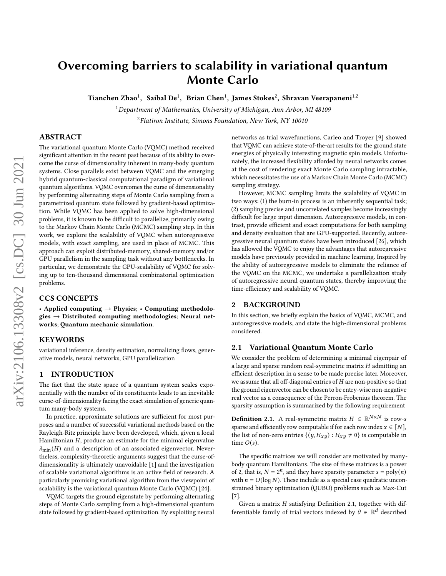# Overcoming barriers to scalability in variational quantum Monte Carlo

Tianchen Zhao $^1$ ,  $\rm Saibal\, De^1$ ,  $\rm Brian\, Chen^1$ , James Stokes $^2$ , Shravan Veerapaneni $^{1,2}$ 

<sup>1</sup>Department of Mathematics, University of Michigan, Ann Arbor, MI 48109  ${}^{2}$ Flatiron Institute, Simons Foundation, New York, NY 10010

# ABSTRACT

The variational quantum Monte Carlo (VQMC) method received significant attention in the recent past because of its ability to overcome the curse of dimensionality inherent in many-body quantum systems. Close parallels exist between VQMC and the emerging hybrid quantum-classical computational paradigm of variational quantum algorithms. VQMC overcomes the curse of dimensionality by performing alternating steps of Monte Carlo sampling from a parametrized quantum state followed by gradient-based optimization. While VQMC has been applied to solve high-dimensional problems, it is known to be difficult to parallelize, primarily owing to the Markov Chain Monte Carlo (MCMC) sampling step. In this work, we explore the scalability of VQMC when autoregressive models, with exact sampling, are used in place of MCMC. This approach can exploit distributed-memory, shared-memory and/or GPU parallelism in the sampling task without any bottlenecks. In particular, we demonstrate the GPU-scalability of VQMC for solving up to ten-thousand dimensional combinatorial optimization problems.

# CCS CONCEPTS

• Applied computing  $\rightarrow$  Physics; • Computing methodologies  $\rightarrow$  Distributed computing methodologies; Neural networks; Quantum mechanic simulation.

## **KEYWORDS**

variational inference, density estimation, normalizing flows, generative models, neural networks, GPU parallelization

## 1 INTRODUCTION

The fact that the state space of a quantum system scales exponentially with the number of its constituents leads to an inevitable curse-of-dimensionality facing the exact simulation of generic quantum many-body systems.

In practice, approximate solutions are sufficient for most purposes and a number of successful variational methods based on the Rayleigh-Ritz principle have been developed, which, given a local Hamiltonian  $H$ , produce an estimate for the minimal eigenvalue  $\lambda_{\min}(H)$  and a description of an associated eigenvector. Nevertheless, complexity-theoretic arguments suggest that the curse-ofdimensionality is ultimately unavoidable [\[1\]](#page-8-0) and the investigation of scalable variational algorithms is an active field of research. A particularly promising variational algorithm from the viewpoint of scalability is the variational quantum Monte Carlo (VQMC) [\[24\]](#page-9-0).

VQMC targets the ground eigenstate by performing alternating steps of Monte Carlo sampling from a high-dimensional quantum state followed by gradient-based optimization. By exploiting neural networks as trial wavefunctions, Carleo and Troyer [\[9\]](#page-8-1) showed that VQMC can achieve state-of-the-art results for the ground state energies of physically interesting magnetic spin models. Unfortunately, the increased flexibility afforded by neural networks comes at the cost of rendering exact Monte Carlo sampling intractable, which necessitates the use of a Markov Chain Monte Carlo (MCMC) sampling strategy.

However, MCMC sampling limits the scalability of VQMC in two ways: (1) the burn-in process is an inherently sequential task; (2) sampling precise and uncorrelated samples become increasingly difficult for large input dimension. Autoregressive models, in contrast, provide efficient and exact computations for both sampling and density evaluation that are GPU-supported. Recently, autoregressive neural quantum states have been introduced [\[26\]](#page-9-1), which has allowed the VQMC to enjoy the advantages that autoregressive models have previously provided in machine learning. Inspired by the ability of autoregressive models to eliminate the reliance of the VQMC on the MCMC, we undertake a parallelization study of autoregressive neural quantum states, thereby improving the time-efficiency and scalability of VQMC.

#### 2 BACKGROUND

In this section, we briefly explain the basics of VQMC, MCMC, and autoregressive models, and state the high-dimensional problems considered.

## 2.1 Variational Quantum Monte Carlo

We consider the problem of determining a minimal eigenpair of a large and sparse random real-symmetric matrix  $H$  admitting an efficient description in a sense to be made precise later. Moreover, we assume that all off-diagonal entries of  $H$  are non-positive so that the ground eigenvector can be chosen to be entry-wise non-negative real vector as a consequence of the Perron-Frobenius theorem. The sparsity assumption is summarized by the following requirement

<span id="page-0-0"></span>**Definition 2.1.** A real-symmetric matrix  $H \in \mathbb{R}^{N \times N}$  is row-s sparse and efficiently row computable if for each row index  $x \in [N]$ , the list of non-zero entries  $\{(y, H_{xy}) : H_{xy} \neq 0\}$  is computable in time  $O(s)$ .

The specific matrices we will consider are motivated by manybody quantum Hamiltonians. The size of these matrices is a power of 2, that is,  $N = 2^n$ , and they have sparsity parameter  $s = \text{poly}(n)$ with  $n = O(\log N)$ . These include as a special case quadratic unconstrained binary optimization (QUBO) problems such as Max-Cut [\[7\]](#page-8-2).

Given a matrix  $H$  satisfying Definition [2.1,](#page-0-0) together with differentiable family of trial vectors indexed by  $\theta \in \mathbb{R}^d$  described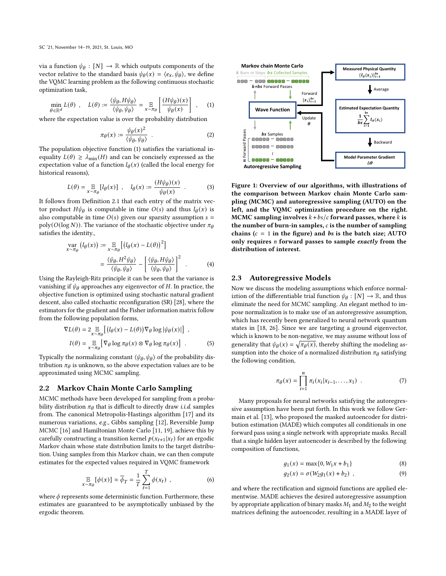via a function  $\psi_{\theta} : [N] \to \mathbb{R}$  which outputs components of the vector relative to the standard basis  $\psi_{\theta}(x) = \langle e_x, \psi_{\theta} \rangle$ , we define the VQMC learning problem as the following continuous stochastic optimization task,

<span id="page-1-0"></span>
$$
\min_{\theta \in \mathbb{R}^d} L(\theta) , \quad L(\theta) := \frac{\langle \psi_{\theta}, H\psi_{\theta} \rangle}{\langle \psi_{\theta}, \psi_{\theta} \rangle} = \mathop{\mathbb{E}}_{x \sim \pi_{\theta}} \left[ \frac{(H\psi_{\theta})(x)}{\psi_{\theta}(x)} \right] , \quad (1)
$$

where the expectation value is over the probability distribution

$$
\pi_{\theta}(x) := \frac{\psi_{\theta}(x)^2}{\langle \psi_{\theta}, \psi_{\theta} \rangle} \tag{2}
$$

The population objective function [\(1\)](#page-1-0) satisfies the variational inequality  $L(\theta) \geq \lambda_{\min}(H)$  and can be concisely expressed as the expectation value of a function  $l_\theta(x)$  (called the local energy for historical reasons),

$$
L(\theta) = \mathop{\mathbb{E}}_{x \sim \pi_{\theta}} [l_{\theta}(x)] , \quad l_{\theta}(x) := \frac{(H\psi_{\theta})(x)}{\psi_{\theta}(x)} . \tag{3}
$$

It follows from Definition [2.1](#page-0-0) that each entry of the matrix vector product  $H\psi_{\theta}$  is computable in time  $O(s)$  and thus  $l_{\theta}(x)$  is also computable in time  $O(s)$  given our sparsity assumption  $s =$ poly( $O(\log N)$ ). The variance of the stochastic objective under  $\pi_{\theta}$ satisfies the identity.,

$$
\operatorname{var}_{x \sim \pi_{\theta}} (l_{\theta}(x)) := \mathop{\mathbb{E}}_{x \sim \pi_{\theta}} [(l_{\theta}(x) - L(\theta))^{2}]
$$

$$
= \frac{\langle \psi_{\theta}, H^{2} \psi_{\theta} \rangle}{\langle \psi_{\theta}, \psi_{\theta} \rangle} - \left[ \frac{\langle \psi_{\theta}, H \psi_{\theta} \rangle}{\langle \psi_{\theta}, \psi_{\theta} \rangle} \right]^{2} . \tag{4}
$$

 $\alpha$ 

Using the Rayleigh-Ritz principle it can be seen that the variance is vanishing if  $\psi_{\theta}$  approaches any eigenvector of H. In practice, the objective function is optimized using stochastic natural gradient descent, also called stochastic reconfiguration (SR) [\[28\]](#page-9-2), where the estimators for the gradient and the Fisher information matrix follow from the following population forms,

$$
\nabla L(\theta) = 2 \mathop{\mathbb{E}}_{x \sim \pi_{\theta}} \left[ \left( l_{\theta}(x) - L(\theta) \right) \nabla_{\theta} \log |\psi_{\theta}(x)| \right],
$$
  

$$
I(\theta) = \mathop{\mathbb{E}}_{x \sim \pi_{\theta}} \left[ \nabla_{\theta} \log \pi_{\theta}(x) \otimes \nabla_{\theta} \log \pi_{\theta}(x) \right].
$$
 (5)

Typically the normalizing constant  $\langle \psi_{\theta}, \psi_{\theta} \rangle$  of the probability distribution  $\pi_{\theta}$  is unknown, so the above expectation values are to be approximated using MCMC sampling.

#### 2.2 Markov Chain Monte Carlo Sampling

MCMC methods have been developed for sampling from a probability distribution  $\pi_\theta$  that is difficult to directly draw *i.i.d.* samples from. The canonical Metropolis-Hastings algorithm [\[17\]](#page-8-3) and its numerous variations, e.g., Gibbs sampling [\[12\]](#page-8-4), Reversible Jump MCMC [\[16\]](#page-8-5) and Hamiltonian Monte Carlo [\[11,](#page-8-6) [19\]](#page-9-3), achieve this by carefully constructing a transition kernel  $p(x_{t+1} | x_t)$  for an ergodic Markov chain whose state distribution limits to the target distribution. Using samples from this Markov chain, we can then compute estimates for the expected values required in VQMC framework

<span id="page-1-2"></span>
$$
\mathbb{E}_{x \sim \pi_{\theta}}[\phi(x)] \approx \overline{\phi}_{T} = \frac{1}{T} \sum_{t=1}^{T} \phi(x_{t}), \qquad (6)
$$

where  $\phi$  represents some deterministic function. Furthermore, these estimates are guaranteed to be asymptotically unbiased by the ergodic theorem.

<span id="page-1-1"></span>

Figure 1: Overview of our algorithms, with illustrations of the comparison between Markov chain Monte Carlo sampling (MCMC) and autoregressive sampling (AUTO) on the left, and the VQMC optimization procedure on the right. MCMC sampling involves  $k + bs/c$  forward passes, where k is the number of burn-in samples,  $c$  is the number of sampling chains  $(c = 1$  in the figure) and bs is the batch size; AUTO only requires  $n$  forward passes to sample exactly from the distribution of interest.

#### <span id="page-1-3"></span>2.3 Autoregressive Models

Now we discuss the modeling assumptions which enforce normaliztion of the differentiable trial function  $\psi_{\theta} : [N] \rightarrow \mathbb{R}$ , and thus eliminate the need for MCMC sampling. An elegant method to impose normalization is to make use of an autoregressive assumption, which has recently been generalized to neural network quantum states in [\[18,](#page-8-7) [26\]](#page-9-1). Since we are targeting a ground eigenvector, which is known to be non-negative, we may assume without loss of generality that  $\psi_{\theta}(x) = \sqrt{\pi_{\theta}(x)}$ , thereby shifting the modeling assumption into the choice of a normalized distribution  $\pi_{\theta}$  satisfying the following condition,

$$
\pi_{\theta}(x) = \prod_{i=1}^{n} \pi_i(x_i | x_{i-1}, \dots, x_1) \quad . \tag{7}
$$

Many proposals for neural networks satisfying the autoregressive assumption have been put forth. In this work we follow Germain et al. [\[13\]](#page-8-8), who proposed the masked autoencoder for distribution estimation (MADE) which computes all conditionals in one forward pass using a single network with appropriate masks. Recall that a single hidden layer autoencoder is described by the following composition of functions,

$$
g_1(x) = \max\{0, W_1x + b_1\}
$$
 (8)

$$
g_2(x) = \sigma(W_2 g_1(x) + b_2) , \qquad (9)
$$

and where the rectification and sigmoid functions are applied elementwise. MADE achieves the desired autoregressive assumption by appropriate application of binary masks  $M_1$  and  $M_2$  to the weight matrices defining the autoencoder, resulting in a MADE layer of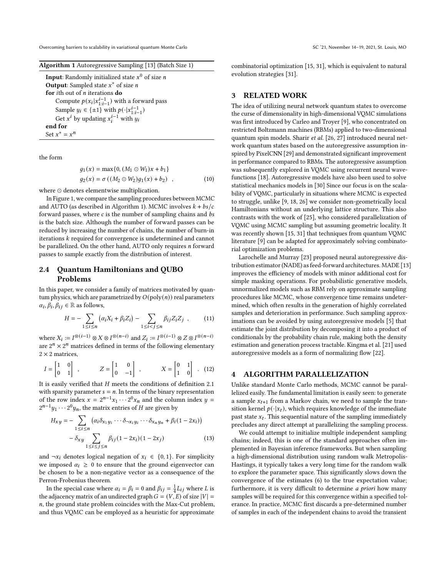Overcoming barriers to scalability in variational quantum Monte Carlo SC '21, November 14–19, 2021, St. Louis, MO

<span id="page-2-0"></span>

|  | Algorithm 1 Autoregressive Sampling [13] (Batch Size 1) |  |  |  |  |
|--|---------------------------------------------------------|--|--|--|--|
|--|---------------------------------------------------------|--|--|--|--|

**Input**: Randomly initialized state  $x^0$  of size  $n$ **Output**: Sampled state  $x^*$  of size n for ith out of  $n$  iterations do Compute  $p(x_i | x_{1:i-1}^{i-1})$  with a forward pass Sample  $y_i \in \{\pm 1\}$  with  $p(\cdot | x_{1:i-1}^{i-1})$ Get  $x^i$  by updating  $x_i^{i-1}$  with  $y_i$ end for Set  $x^* = x^n$ 

the form

$$
g_1(x) = \max\{0, (M_1 \odot W_1)x + b_1\}
$$
  
\n
$$
g_2(x) = \sigma((M_2 \odot W_2)g_1(x) + b_2),
$$
\n(10)

where ⊙ denotes elementwise multiplication.

In Figure [1,](#page-1-1) we compare the sampling procedures between MCMC and AUTO (as described in Algorithm [1\)](#page-2-0). MCMC involves  $k + bs/c$ forward passes, where  $c$  is the number of sampling chains and  $bs$ is the batch size. Although the number of forward passes can be reduced by increasing the number of chains, the number of burn-in iterations  $k$  required for convergence is undetermined and cannot be parallelized. On the other hand, AUTO only requires  $n$  forward passes to sample exactly from the distribution of interest.

## 2.4 Quantum Hamiltonians and QUBO Problems

In this paper, we consider a family of matrices motivated by quantum physics, which are parametrized by  $O(poly(n))$  real parameters  $\alpha_i, \beta_i, \beta_{ij} \in \mathbb{R}$  as follows,

<span id="page-2-2"></span>
$$
H = -\sum_{1 \le i \le n} \left( \alpha_i X_i + \beta_i Z_i \right) - \sum_{1 \le i < j \le n} \beta_{ij} Z_i Z_j \quad , \tag{11}
$$

where  $X_i := I^{\otimes (i-1)} \otimes X \otimes I^{\otimes (n-i)}$  and  $Z_i := I^{\otimes (i-1)} \otimes Z \otimes I^{\otimes (n-i)}$ are  $2^n \times 2^n$  matrices defined in terms of the following elementary  $2 \times 2$  matrices.

$$
I = \begin{bmatrix} 1 & 0 \\ 0 & 1 \end{bmatrix} , \qquad Z = \begin{bmatrix} 1 & 0 \\ 0 & -1 \end{bmatrix} , \qquad X = \begin{bmatrix} 0 & 1 \\ 1 & 0 \end{bmatrix} . \tag{12}
$$

It is easily verified that  $H$  meets the conditions of definition [2.1](#page-0-0) with sparsity parameter  $s = n$ . In terms of the binary representation of the row index  $x = 2^{n-1}x_1 \cdots 2^0x_n$  and the column index  $y =$  $2^{n-1}y_1 \cdots 2^0y_n$ , the matrix entries of H are given by

$$
H_{xy} = -\sum_{1 \le i \le n} \left( \alpha_i \delta_{x_1 y_1} \cdots \delta_{\neg x_i y_i} \cdots \delta_{x_n y_n} + \beta_i (1 - 2x_i) \right) - \delta_{xy} \sum_{1 \le i \le j \le n} \beta_{ij} (1 - 2x_i) (1 - 2x_j)
$$
 (13)

and  $\neg x_i$  denotes logical negation of  $x_i \in \{0, 1\}$ . For simplicity we imposed  $\alpha_i \geq 0$  to ensure that the ground eigenvector can be chosen to be a non-negative vector as a consequence of the Perron-Frobenius theorem.

In the special case where  $\alpha_i = \beta_i = 0$  and  $\beta_{ij} = \frac{1}{4}L_{ij}$  where L is the adjacency matrix of an undirected graph  $G = (V, E)$  of size  $|V| =$ , the ground state problem coincides with the Max-Cut problem, and thus VQMC can be employed as a heuristic for approximate combinatorial optimization [\[15,](#page-8-9) [31\]](#page-9-4), which is equivalent to natural evolution strategies [\[31\]](#page-9-4).

#### 3 RELATED WORK

The idea of utilizing neural network quantum states to overcome the curse of dimensionality in high-dimensional VQMC simulations was first introduced by Carleo and Troyer [\[9\]](#page-8-1), who concentrated on restricted Boltzmann machines (RBMs) applied to two-dimensional quantum spin models. Sharir et al. [\[26,](#page-9-1) [27\]](#page-9-5) introduced neural network quantum states based on the autoregressive assumption inspired by PixelCNN [\[29\]](#page-9-6) and demonstrated significant improvement in performance compared to RBMs. The autoregressive assumption was subsequently explored in VQMC using recurrent neural wavefunctions [\[18\]](#page-8-7). Autoregressive models have also been used to solve statistical mechanics models in [\[30\]](#page-9-7) Since our focus is on the scalability of VQMC, particularly in situations where MCMC is expected to struggle, unlike [\[9,](#page-8-1) [18,](#page-8-7) [26\]](#page-9-1) we consider non-geometrically local Hamiltonians without an underlying lattice structure. This also contrasts with the work of [\[25\]](#page-9-8), who considered parallelization of VQMC using MCMC sampling but assuming geometric locality. It was recently shown [\[15,](#page-8-9) [31\]](#page-9-4) that techniques from quantum VQMC literature [\[9\]](#page-8-1) can be adapted for approximately solving combinatorial optimization problems.

Larochelle and Murray [\[23\]](#page-9-9) proposed neural autoregressive distribution estimator (NADE) as feed-forward architectures. MADE [\[13\]](#page-8-8) improves the efficiency of models with minor additional cost for simple masking operations. For probabilistic generative models, unnormalized models such as RBM rely on approximate sampling procedures like MCMC, whose convergence time remains undetermined, which often results in the generation of highly correlated samples and deterioration in performance. Such sampling approximations can be avoided by using autoregressive models [\[5\]](#page-8-10) that estimate the joint distribution by decomposing it into a product of conditionals by the probability chain rule, making both the density estimation and generation process tractable. Kingma et al. [\[21\]](#page-9-10) used autoregressive models as a form of normalizing flow [\[22\]](#page-9-11).

#### 4 ALGORITHM PARALLELIZATION

Unlike standard Monte Carlo methods, MCMC cannot be parallelized easily. The fundamental limitation is easily seen: to generate a sample  $x_{t+1}$  from a Markov chain, we need to sample the transition kernel  $p(\cdot|x_t)$ , which requires knowledge of the immediate past state  $x_t$ . This sequential nature of the sampling immediately precludes any direct attempt at parallelizing the sampling process.

<span id="page-2-1"></span>We could attempt to initialize multiple independent sampling chains; indeed, this is one of the standard approaches often implemented in Bayesian inference frameworks. But when sampling a high-dimensional distribution using random walk Metropolis-Hastings, it typically takes a very long time for the random walk to explore the parameter space. This significantly slows down the convergence of the estimates [\(6\)](#page-1-2) to the true expectation value; furthermore, it is very difficult to determine a priori how many samples will be required for this convergence within a specified tolerance. In practice, MCMC first discards a pre-determined number of samples in each of the independent chains to avoid the transient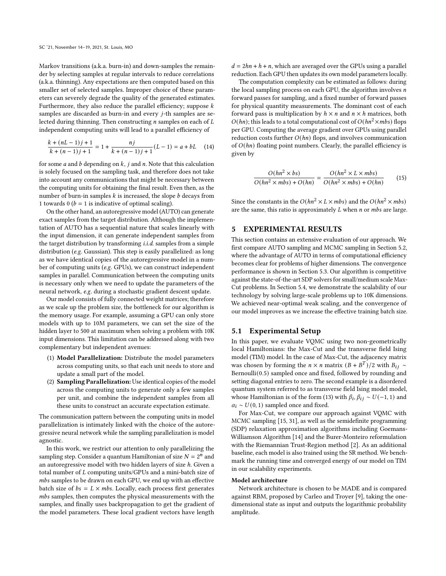Markov transitions (a.k.a. burn-in) and down-samples the remainder by selecting samples at regular intervals to reduce correlations (a.k.a. thinning). Any expectations are then computed based on this smaller set of selected samples. Improper choice of these parameters can severely degrade the quality of the generated estimates. Furthermore, they also reduce the parallel efficiency; suppose  $k$ samples are discarded as burn-in and every  $j$ -th samples are selected during thinning. Then constructing  $n$  samples on each of  $L$ independent computing units will lead to a parallel efficiency of

$$
\frac{k + (nL - 1)j + 1}{k + (n - 1)j + 1} = 1 + \frac{nj}{k + (n - 1)j + 1}(L - 1) = a + bL
$$
 (14)

for some  $a$  and  $b$  depending on  $k$ ,  $j$  and  $n$ . Note that this calculation is solely focused on the sampling task, and therefore does not take into account any communications that might be necessary between the computing units for obtaining the final result. Even then, as the number of burn-in samples  $k$  is increased, the slope  $b$  decays from 1 towards 0 ( $b = 1$  is indicative of optimal scaling).

On the other hand, an autoregressive model (AUTO) can generate exact samples from the target distribution. Although the implementation of AUTO has a sequential nature that scales linearly with the input dimension, it can generate independent samples from the target distribution by transforming  $i.i.d.$  samples from a simple distribution (e.g. Gaussian). This step is easily parallelized: as long as we have identical copies of the autoregressive model in a number of computing units (e.g. GPUs), we can construct independent samples in parallel. Communication between the computing units is necessary only when we need to update the parameters of the neural network, e.g. during a stochastic gradient descent update.

Our model consists of fully connected weight matrices; therefore as we scale up the problem size, the bottleneck for our algorithm is the memory usage. For example, assuming a GPU can only store models with up to 10M parameters, we can set the size of the hidden layer to 500 at maximum when solving a problem with 10K input dimensions. This limitation can be addressed along with two complementary but independent avenues:

- (1) Model Parallelization: Distribute the model parameters across computing units, so that each unit needs to store and update a small part of the model.
- (2) Sampling Parallelization: Use identical copies of the model across the computing units to generate only a few samples per unit, and combine the independent samples from all these units to construct an accurate expectation estimate.

The communication pattern between the computing units in model parallelization is intimately linked with the choice of the autoregressive neural network while the sampling parallelization is model agnostic.

In this work, we restrict our attention to only parallelizing the sampling step. Consider a quantum Hamiltonian of size  $N = 2^n$  and an autoregressive model with two hidden layers of size h. Given a total number of  $L$  computing units/GPUs and a mini-batch size of mbs samples to be drawn on each GPU, we end up with an effective batch size of  $bs = L \times mbs$ . Locally, each process first generates mbs samples, then computes the physical measurements with the samples, and finally uses backpropagation to get the gradient of the model parameters. These local gradient vectors have length

 $d = 2hn + h + n$ , which are averaged over the GPUs using a parallel reduction. Each GPU then updates its own model parameters locally.

The computation complexity can be estimated as follows: during the local sampling process on each GPU, the algorithm involves  $n$ forward passes for sampling, and a fixed number of forward passes for physical quantity measurements. The dominant cost of each forward pass is multiplication by  $h \times n$  and  $n \times h$  matrices, both  $O(hn)$ ; this leads to a total computational cost of  $O(hn^2 \times mbs)$  flops per GPU. Computing the average gradient over GPUs using parallel reduction costs further  $O(hn)$  flops, and involves communication of  $O(hn)$  floating point numbers. Clearly, the parallel efficiency is given by

$$
\frac{O(hn^2 \times bs)}{O(hn^2 \times mbs) + O(hn)} = \frac{O(hn^2 \times L \times mbs)}{O(hn^2 \times mbs) + O(hn)}
$$
(15)

Since the constants in the  $O(hn^2 \times L \times mbs)$  and the  $O(hn^2 \times mbs)$ are the same, this ratio is approximately  $L$  when  $n$  or  $mbs$  are large.

## 5 EXPERIMENTAL RESULTS

This section contains an extensive evaluation of our approach. We first compare AUTO sampling and MCMC sampling in Section [5.2,](#page-5-0) where the advantage of AUTO in terms of computational efficiency becomes clear for problems of higher dimensions. The convergence performance is shown in Section [5.3.](#page-5-1) Our algorithm is competitive against the state-of-the-art SDP solvers for small/medium scale Max-Cut problems. In Section [5.4,](#page-6-0) we demonstrate the scalability of our technology by solving large-scale problems up to 10K dimensions. We achieved near-optimal weak scaling, and the convergence of our model improves as we increase the effective training batch size.

## <span id="page-3-0"></span>5.1 Experimental Setup

In this paper, we evaluate VQMC using two non-geometrically local Hamiltonians: the Max-Cut and the transverse field Ising model (TIM) model. In the case of Max-Cut, the adjacency matrix was chosen by forming the  $n \times n$  matrix  $(B + B^T)/2$  with  $B_{ij} \sim$ Bernoulli(0.5) sampled once and fixed, followed by rounding and setting diagonal entries to zero. The second example is a disordered quantum system referred to as transverse field Ising model model, whose Hamiltonian is of the form [\(13\)](#page-2-1) with  $\beta_i$ ,  $\beta_{ij} \sim U(-1, 1)$  and  $\alpha_i \sim U(0, 1)$  sampled once and fixed.

For Max-Cut, we compare our approach against VQMC with MCMC sampling [\[15,](#page-8-9) [31\]](#page-9-4), as well as the semidefinite programming (SDP) relaxation approximation algorithms including Goemans-Williamson Algorithm [\[14\]](#page-8-11) and the Burer-Monteiro reformulation with the Riemannian Trust-Region method [\[2\]](#page-8-12). As an additional baseline, each model is also trained using the SR method. We benchmark the running time and converged energy of our model on TIM in our scalability experiments.

#### Model architecture

Network architecture is chosen to be MADE and is compared against RBM, proposed by Carleo and Troyer [\[9\]](#page-8-1), taking the onedimensional state as input and outputs the logarithmic probability amplitude.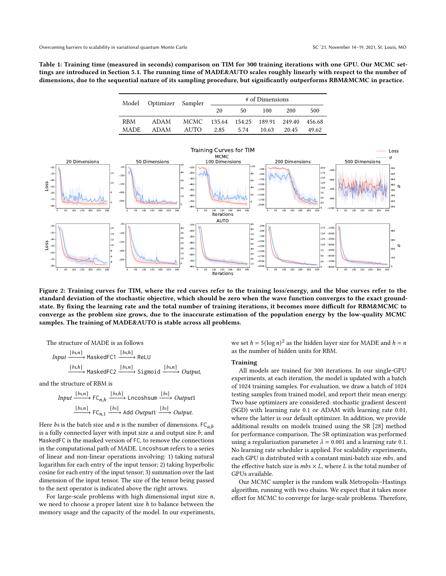Overcoming barriers to scalability in variational quantum Monte Carlo SC '21, November 14–19, 2021, St. Louis, MO

<span id="page-4-0"></span>Table 1: Training time (measured in seconds) comparison on TIM for 300 training iterations with one GPU. Our MCMC settings are introduced in Section [5.1.](#page-3-0) The running time of MADE&AUTO scales roughly linearly with respect to the number of dimensions, due to the sequential nature of its sampling procedure, but significantly outperforms RBM&MCMC in practice.

|             | Model Optimizer Sampler |                                         | # of Dimensions |      |       |       |       |  |  |  |
|-------------|-------------------------|-----------------------------------------|-----------------|------|-------|-------|-------|--|--|--|
|             |                         |                                         | 20              | 50   | 100   | 200   | 500   |  |  |  |
| <b>RBM</b>  | ADAM                    | MCMC 135.64 154.25 189.91 249.40 456.68 |                 |      |       |       |       |  |  |  |
| <b>MADE</b> | ADAM                    | AUTO                                    | 2.85            | 5.74 | 10.63 | 20.45 | 49.62 |  |  |  |

<span id="page-4-1"></span>

Figure 2: Training curves for TIM, where the red curves refer to the training loss/energy, and the blue curves refer to the standard deviation of the stochastic objective, which should be zero when the wave function converges to the exact groundstate. By fixing the learning rate and the total number of training iterations, it becomes more difficult for RBM&MCMC to converge as the problem size grows, due to the inaccurate estimation of the population energy by the low-quality MCMC samples. The training of MADE&AUTO is stable across all problems.

The structure of MADE is as follows

$$
Input \xrightarrow{[bs,n]} \text{MaskedFC1} \xrightarrow{[bs,h]} \text{ReLU}
$$
\n
$$
\xrightarrow{[bs,h]} \text{MaskedFC2} \xrightarrow{[bs,n]} \text{Sigmoid} \xrightarrow{[bs,n]} Output
$$

and the structure of RBM is

$$
Input \xrightarrow{[bs,n]} \mathsf{FC}_{n,h} \xrightarrow{[bs,h]} \mathsf{Lncoshsum} \xrightarrow{[bs]} Output1
$$
\n
$$
\xrightarrow{[bs,n]} \mathsf{FC}_{n,1} \xrightarrow{[bs]} \mathsf{Add} Output1 \xrightarrow{[bs]} Output1
$$

Here bs is the batch size and *n* is the number of dimensions.  $FC_{ab}$ is a fully connected layer with input size  $a$  and output size  $b$ ; and MaskedFC is the masked version of FC, to remove the connections in the computational path of MADE. Lncoshsum refers to a series of linear and non-linear operations involving: 1) taking natural logarithm for each entry of the input tensor; 2) taking hyperbolic cosine for each entry of the input tensor; 3) summation over the last dimension of the input tensor. The size of the tensor being passed to the next operator is indicated above the right arrows.

For large-scale problems with high dimensional input size  $n$ , we need to choose a proper latent size  $h$  to balance between the memory usage and the capacity of the model. In our experiments,

we set  $h = 5(\log n)^2$  as the hidden layer size for MADE and  $h = n$ as the number of hidden units for RBM.

#### Training

All models are trained for 300 iterations. In our single-GPU experiments, at each iteration, the model is updated with a batch of 1024 training samples. For evaluation, we draw a batch of 1024 testing samples from trained model, and report their mean energy. Two base optimizers are considered: stochastic gradient descent (SGD) with learning rate 0.1 or ADAM with learning rate 0.01, where the latter is our default optimizer. In addition, we provide additional results on models trained using the SR [\[28\]](#page-9-2) method for performance comparison. The SR optimization was performed using a regularization parameter  $\lambda = 0.001$  and a learning rate 0.1. No learning rate scheduler is applied. For scalability experiments, each GPU is distributed with a constant mini-batch size mbs, and the effective batch size is  $mbs \times L$ , where L is the total number of GPUs available.

Our MCMC sampler is the random walk Metropolis–Hastings algorithm, running with two chains. We expect that it takes more effort for MCMC to converge for large-scale problems. Therefore,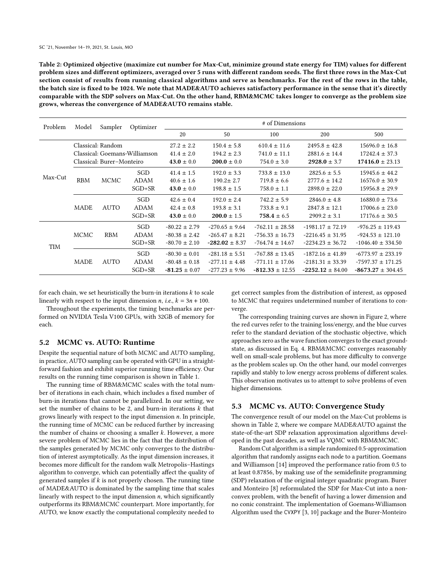<span id="page-5-2"></span>Table 2: Optimized objective (maximize cut number for Max-Cut, minimize ground state energy for TIM) values for different problem sizes and different optimizers, averaged over 5 runs with different random seeds. The first three rows in the Max-Cut section consist of results from running classical algorithms and serve as benchmarks. For the rest of the rows in the table, the batch size is fixed to be 1024. We note that MADE&AUTO achieves satisfactory performance in the sense that it's directly comparable with the SDP solvers on Max-Cut. On the other hand, RBM&MCMC takes longer to converge as the problem size grows, whereas the convergence of MADE&AUTO remains stable.

|            | Problem<br>Model |                           | Optimizer                     |                   |                    | # of Dimensions     |                      |                       |
|------------|------------------|---------------------------|-------------------------------|-------------------|--------------------|---------------------|----------------------|-----------------------|
|            |                  | Sampler                   |                               | 20                | 50                 | 100                 | 200                  | 500                   |
|            |                  | Classical: Random         |                               | $27.2 \pm 2.2$    | $150.4 \pm 5.8$    | $610.4 \pm 11.6$    | $2495.8 \pm 42.8$    | $15696.0 \pm 16.8$    |
|            |                  |                           | Classical: Goemans-Williamson | $41.4 \pm 2.0$    | $194.2 \pm 2.3$    | $741.0 \pm 11.1$    | $2881.6 \pm 14.4$    | $17242.4 \pm 37.3$    |
|            |                  | Classical: Burer-Monteiro |                               | $43.0 \pm 0.0$    | $200.0 \pm 0.0$    | $754.0 \pm 3.0$     | $2928.0 \pm 3.7$     | $17416.0 \pm 23.13$   |
|            |                  |                           | SGD                           | $41.4 \pm 1.5$    | $192.0 \pm 3.3$    | $733.8 \pm 13.0$    | $2825.6 \pm 5.5$     | $15945.6 \pm 44.2$    |
| Max-Cut    | <b>RBM</b>       | <b>MCMC</b>               | ADAM                          | $40.6 \pm 1.6$    | $190.2 \pm 2.7$    | $719.8 \pm 6.6$     | $2777.6 \pm 14.2$    | $16576.0 \pm 30.9$    |
|            |                  |                           | $SGD+SR$                      | $43.0 \pm 0.0$    | $198.8 \pm 1.5$    | $758.0 \pm 1.1$     | $2898.0 \pm 22.0$    | $15956.8 \pm 29.9$    |
|            |                  | <b>AUTO</b>               | SGD                           | $42.6 \pm 0.4$    | $192.0 \pm 2.4$    | $742.2 \pm 5.9$     | $2846.0 \pm 4.8$     | $16880.0 \pm 73.6$    |
|            | <b>MADE</b>      |                           | ADAM                          | $42.4 \pm 0.8$    | $193.8 \pm 3.1$    | $733.8 \pm 9.1$     | $2847.8 \pm 12.1$    | $17006.6 \pm 23.0$    |
|            |                  |                           | $SGD+SR$                      | $43.0 \pm 0.0$    | $200.0 \pm 1.5$    | $758.4 \pm 6.5$     | $2909.2 \pm 3.1$     | $17176.6 \pm 30.5$    |
|            |                  |                           | SGD                           | $-80.22 \pm 2.79$ | $-270.65 \pm 9.64$ | $-762.11 \pm 28.58$ | $-1981.17 \pm 72.19$ | $-976.25 \pm 119.43$  |
|            | <b>MCMC</b>      | <b>RBM</b>                | ADAM                          | $-80.38 \pm 2.42$ | $-265.47 \pm 8.21$ | $-756.33 \pm 16.73$ | $-2216.45 \pm 31.95$ | $-924.53 \pm 121.10$  |
| <b>TIM</b> |                  |                           | $SGD+SR$                      | $-80.70 \pm 2.10$ | $-282.02 \pm 8.37$ | $-764.74 \pm 14.67$ | $-2234.23 \pm 36.72$ | $-1046.40 \pm 334.50$ |
|            |                  |                           | SGD                           | $-80.30 \pm 0.01$ | $-281.18 \pm 5.51$ | $-767.88 \pm 13.45$ | $-1872.16 \pm 41.89$ | $-6773.97 \pm 233.19$ |
|            | <b>MADE</b>      | <b>AUTO</b>               | ADAM                          | $-80.48 \pm 0.18$ | $-277.11 \pm 4.48$ | $-771.11 \pm 17.06$ | $-2181.31 \pm 33.39$ | $-7597.37 \pm 171.25$ |
|            |                  |                           | $SGD+SR$                      | $-81.25 \pm 0.07$ | $-277.23 \pm 9.96$ | $-812.33 \pm 12.55$ | $-2252.12 \pm 84.00$ | $-8673.27 \pm 304.45$ |

for each chain, we set heuristically the burn-in iterations  $k$  to scale linearly with respect to the input dimension *n*, *i.e.*,  $k = 3n + 100$ .

Throughout the experiments, the timing benchmarks are performed on NVIDIA Tesla V100 GPUs, with 32GB of memory for each.

## <span id="page-5-0"></span>5.2 MCMC vs. AUTO: Runtime

Despite the sequential nature of both MCMC and AUTO sampling, in practice, AUTO sampling can be operated with GPU in a straightforward fashion and exhibit superior running time efficiency. Our results on the running time comparison is shown in Table [1.](#page-4-0)

The running time of RBM&MCMC scales with the total number of iterations in each chain, which includes a fixed number of burn-in iterations that cannot be parallelized. In our setting, we set the number of chains to be 2, and burn-in iterations  $k$  that grows linearly with respect to the input dimension  $n$ . In principle, the running time of MCMC can be reduced further by increasing the number of chains or choosing a smaller  $k$ . However, a more severe problem of MCMC lies in the fact that the distribution of the samples generated by MCMC only converges to the distribution of interest asymptotically. As the input dimension increases, it becomes more difficult for the random walk Metropolis–Hastings algorithm to converge, which can potentially affect the quality of generated samples if  $k$  is not properly chosen. The running time of MADE&AUTO is dominated by the sampling time that scales linearly with respect to the input dimension  $n$ , which significantly outperforms its RBM&MCMC counterpart. More importantly, for AUTO, we know exactly the computational complexity needed to

get correct samples from the distribution of interest, as opposed to MCMC that requires undetermined number of iterations to converge.

The corresponding training curves are shown in Figure [2,](#page-4-1) where the red curves refer to the training loss/energy, and the blue curves refer to the standard deviation of the stochastic objective, which approaches zero as the wave function converges to the exact groundstate, as discussed in Eq. [4.](#page-1-3) RBM&MCMC converges reasonably well on small-scale problems, but has more difficulty to converge as the problem scales up. On the other hand, our model converges rapidly and stably to low energy across problems of different scales. This observation motivates us to attempt to solve problems of even higher dimensions.

## <span id="page-5-1"></span>5.3 MCMC vs. AUTO: Convergence Study

The convergence result of our model on the Max-Cut problems is shown in Table [2,](#page-5-2) where we compare MADE&AUTO against the state-of-the-art SDP relaxation approximation algorithms developed in the past decades, as well as VQMC with RBM&MCMC.

Random Cut algorithm is a simple randomized 0.5-approximation algorithm that randomly assigns each node to a partition. Goemans and Williamson [\[14\]](#page-8-11) improved the performance ratio from 0.5 to at least 0.87856, by making use of the semidefinite programming (SDP) relaxation of the original integer quadratic program. Burer and Monteiro [\[8\]](#page-8-13) reformulated the SDP for Max-Cut into a nonconvex problem, with the benefit of having a lower dimension and no conic constraint. The implementation of Goemans-Williamson Algorithm used the CVXPY [\[3,](#page-8-14) [10\]](#page-8-15) package and the Burer-Monteiro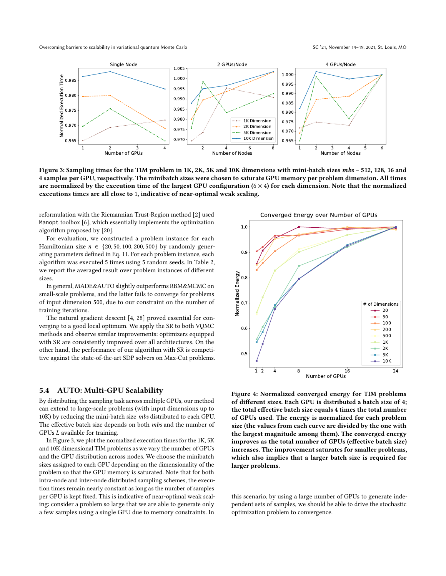<span id="page-6-1"></span>

Figure 3: Sampling times for the TIM problem in 1K, 2K, 5K and 10K dimensions with mini-batch sizes mbs = 512, 128, 16 and 4 samples per GPU, respectively. The minibatch sizes were chosen to saturate GPU memory per problem dimension. All times are normalized by the execution time of the largest GPU configuration  $(6 \times 4)$  for each dimension. Note that the normalized executions times are all close to 1, indicative of near-optimal weak scaling.

reformulation with the Riemannian Trust-Region method [\[2\]](#page-8-12) used Manopt toolbox [\[6\]](#page-8-16), which essentially implements the optimization algorithm proposed by [\[20\]](#page-9-12).

For evaluation, we constructed a problem instance for each Hamiltonian size  $n \in \{20, 50, 100, 200, 500\}$  by randomly generating parameters defined in Eq. [11.](#page-2-2) For each problem instance, each algorithm was executed 5 times using 5 random seeds. In Table [2,](#page-5-2) we report the averaged result over problem instances of different sizes.

In general, MADE&AUTO slightly outperforms RBM&MCMC on small-scale problems, and the latter fails to converge for problems of input dimension 500, due to our constraint on the number of training iterations.

The natural gradient descent [\[4,](#page-8-17) [28\]](#page-9-2) proved essential for converging to a good local optimum. We apply the SR to both VQMC methods and observe similar improvements: optimizers equipped with SR are consistently improved over all architectures. On the other hand, the performance of our algorithm with SR is competitive against the state-of-the-art SDP solvers on Max-Cut problems.

#### <span id="page-6-0"></span>5.4 AUTO: Multi-GPU Scalability

By distributing the sampling task across multiple GPUs, our method can extend to large-scale problems (with input dimensions up to 10K) by reducing the mini-batch size mbs distributed to each GPU. The effective batch size depends on both mbs and the number of GPUs  $L$  available for training.

In Figure [3,](#page-6-1) we plot the normalized execution times for the 1K, 5K and 10K dimensional TIM problems as we vary the number of GPUs and the GPU distribution across nodes. We choose the minibatch sizes assigned to each GPU depending on the dimensionality of the problem so that the GPU memory is saturated. Note that for both intra-node and inter-node distributed sampling schemes, the execution times remain nearly constant as long as the number of samples per GPU is kept fixed. This is indicative of near-optimal weak scaling: consider a problem so large that we are able to generate only a few samples using a single GPU due to memory constraints. In

Converged Energy over Number of GPUs

<span id="page-6-2"></span>

Figure 4: Normalized converged energy for TIM problems of different sizes. Each GPU is distributed a batch size of 4; the total effective batch size equals 4 times the total number of GPUs used. The energy is normalized for each problem size (the values from each curve are divided by the one with the largest magnitude among them). The converged energy improves as the total number of GPUs (effective batch size) increases. The improvement saturates for smaller problems, which also implies that a larger batch size is required for larger problems.

this scenario, by using a large number of GPUs to generate independent sets of samples, we should be able to drive the stochastic optimization problem to convergence.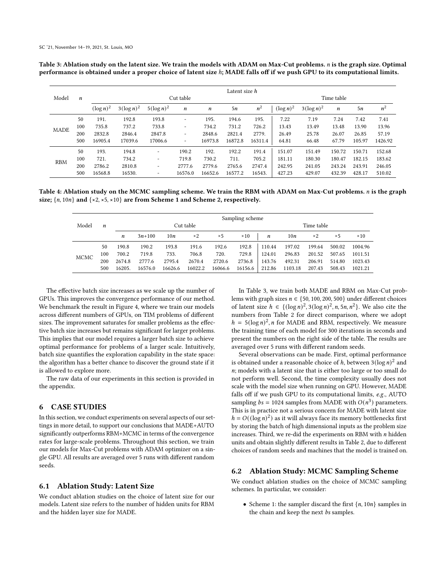<span id="page-7-0"></span>Table 3: Ablation study on the latent size. We train the models with ADAM on Max-Cut problems. is the graph size. Optimal performance is obtained under a proper choice of latent size h; MADE falls off if we push GPU to its computational limits.

| Model       | n   |              |               |                          | Cut table                |                  |         |         |              |               | Time table       |        |         |
|-------------|-----|--------------|---------------|--------------------------|--------------------------|------------------|---------|---------|--------------|---------------|------------------|--------|---------|
|             |     | $(\log n)^2$ | $3(\log n)^2$ | $5(\log n)^2$            | n                        | $\boldsymbol{n}$ | 5n      | $n^2$   | $(\log n)^2$ | $3(\log n)^2$ | $\boldsymbol{n}$ | 5n     | $n^2$   |
|             | 50  | 191.         | 192.8         | 193.8                    | $\overline{\phantom{m}}$ | 195.             | 194.6   | 195.    | 7.22         | 7.19          | 7.24             | 7.42   | 7.41    |
| <b>MADE</b> | 100 | 735.8        | 737.2         | 733.8                    | $\overline{\phantom{m}}$ | 734.2            | 731.2   | 726.2   | 13.43        | 13.49         | 13.48            | 13.90  | 13.96   |
|             | 200 | 2832.8       | 2846.4        | 2847.8                   | $\overline{\phantom{m}}$ | 2848.6           | 2821.4  | 2779.   | 26.49        | 25.78         | 26.07            | 26.85  | 57.19   |
|             | 500 | 16905.4      | 17039.6       | 17006.6                  | $\overline{\phantom{a}}$ | 16973.8          | 16872.8 | 16311.4 | 64.81        | 66.48         | 67.79            | 105.97 | 1426.92 |
|             | 50  | 193.         | 194.8         | $\overline{\phantom{a}}$ | 190.2                    | 192.             | 192.2   | 191.4   | 151.07       | 151.49        | 150.72           | 150.71 | 152.68  |
| <b>RBM</b>  | 100 | 721.         | 734.2         | $\overline{\phantom{0}}$ | 719.8                    | 730.2            | 711.    | 705.2   | 181.11       | 180.30        | 180.47           | 182.15 | 183.62  |
|             | 200 | 2786.2       | 2810.8        |                          | 2777.6                   | 2779.6           | 2765.6  | 2747.4  | 242.95       | 241.05        | 243.24           | 243.91 | 246.05  |
|             | 500 | 16568.8      | 16530.        |                          | 16576.0                  | 16652.6          | 16577.2 | 16543.  | 427.23       | 429.07        | 432.39           | 428.17 | 510.02  |

<span id="page-7-1"></span>Table 4: Ablation study on the MCMC sampling scheme. We train the RBM with ADAM on Max-Cut problems. is the graph size;  $\{n, 10n\}$  and  $\{ \times 2, \times 5, \times 10 \}$  are from Scheme 1 and Scheme 2, respectively.

|             |     | Sampling scheme |          |         |            |            |             |                  |         |            |            |             |  |
|-------------|-----|-----------------|----------|---------|------------|------------|-------------|------------------|---------|------------|------------|-------------|--|
| Model       | n   | Cut table       |          |         |            |            |             | Time table       |         |            |            |             |  |
|             |     | n               | $3n+100$ | 10n     | $\times 2$ | $\times 5$ | $\times$ 10 | $\boldsymbol{n}$ | 10n     | $\times 2$ | $\times 5$ | $\times$ 10 |  |
|             | 50  | 190.8           | 190.2    | 193.8   | 191.6      | 192.6      | 192.8       | 110.44           | 197.02  | 199.64     | 500.02     | 1004.96     |  |
| <b>MCMC</b> | 100 | 700.2           | 719.8    | 733.    | 706.8      | 720.       | 729.8       | 124.01           | 296.83  | 201.52     | 507.65     | 1011.51     |  |
|             | 200 | 2674.8          | 2777.6   | 2795.4  | 2670.4     | 2720.6     | 2736.8      | 143.76           | 492.31  | 206.91     | 514.80     | 1023.43     |  |
|             | 500 | 16205.          | 16576.0  | 16626.6 | 16022.2    | 16066.6    | 16156.6     | 212.86           | 1103.18 | 207.43     | 508.43     | 1021.21     |  |

The effective batch size increases as we scale up the number of GPUs. This improves the convergence performance of our method. We benchmark the result in Figure [4,](#page-6-2) where we train our models across different numbers of GPUs, on TIM problems of different sizes. The improvement saturates for smaller problems as the effective batch size increases but remains significant for larger problems. This implies that our model requires a larger batch size to achieve optimal performance for problems of a larger scale. Intuitively, batch size quantifies the exploration capability in the state space: the algorithm has a better chance to discover the ground state if it is allowed to explore more.

The raw data of our experiments in this section is provided in the appendix.

## 6 CASE STUDIES

In this section, we conduct experiments on several aspects of our settings in more detail, to support our conclusions that MADE+AUTO significantly outperforms RBM+MCMC in terms of the convergence rates for large-scale problems. Throughout this section, we train our models for Max-Cut problems with ADAM optimizer on a single GPU. All results are averaged over 5 runs with different random seeds.

#### 6.1 Ablation Study: Latent Size

We conduct ablation studies on the choice of latent size for our models. Latent size refers to the number of hidden units for RBM and the hidden layer size for MADE.

In Table [3,](#page-7-0) we train both MADE and RBM on Max-Cut problems with graph sizes  $n \in \{50, 100, 200, 500\}$  under different choices of latent size  $h \in \{(\log n)^2, 3(\log n)^2, n, 5n, n^2\}$ . We also cite the numbers from Table [2](#page-5-2) for direct comparison, where we adopt  $h = 5(\log n)^2$ , *n* for MADE and RBM, respectively. We measure the training time of each model for 300 iterations in seconds and present the numbers on the right side of the table. The results are averaged over 5 runs with different random seeds.

Several observations can be made. First, optimal performance is obtained under a reasonable choice of h, between  $3(\log n)^2$  and  $n$ ; models with a latent size that is either too large or too small do not perform well. Second, the time complexity usually does not scale with the model size when running on GPU. However, MADE falls off if we push GPU to its computational limits, e.g., AUTO sampling  $bs = 1024$  samples from MADE with  $O(n^3)$  parameters. This is in practice not a serious concern for MADE with latent size  $h = O((\log n)^2)$  as it will always face its memory bottlenecks first by storing the batch of high dimensional inputs as the problem size increases. Third, we re-did the experiments on RBM with  $n$  hidden units and obtain slightly different results in Table [2,](#page-5-2) due to different choices of random seeds and machines that the model is trained on.

#### 6.2 Ablation Study: MCMC Sampling Scheme

We conduct ablation studies on the choice of MCMC sampling schemes. In particular, we consider:

• Scheme 1: the sampler discard the first  ${n, 10n}$  samples in the chain and keep the next bs samples.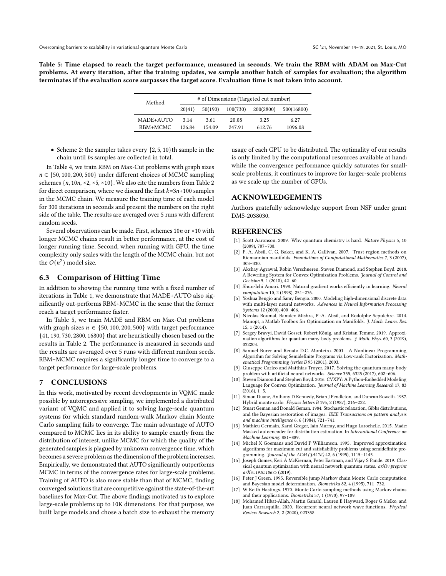<span id="page-8-18"></span>Table 5: Time elapsed to reach the target performance, measured in seconds. We train the RBM with ADAM on Max-Cut problems. At every iteration, after the training updates, we sample another batch of samples for evaluation; the algorithm terminates if the evaluation score surpasses the target score. Evaluation time is not taken into account.

| Method    | # of Dimensions (Targeted cut number) |         |          |           |            |  |  |  |  |
|-----------|---------------------------------------|---------|----------|-----------|------------|--|--|--|--|
|           | 20(41)                                | 50(190) | 100(730) | 200(2800) | 500(16800) |  |  |  |  |
| MADE+AUTO | 3 1 4                                 | 3.61    | 20.08    | 3.25      | 6.27       |  |  |  |  |
| RBM+MCMC  | 126.84                                | 154 09  | 247.91   | 612.76    | 1096.08    |  |  |  |  |

• Scheme 2: the sampler takes every  $\{2, 5, 10\}$ th sample in the chain until bs samples are collected in total.

In Table [4,](#page-7-1) we train RBM on Max-Cut problems with graph sizes  $n \in \{50, 100, 200, 500\}$  under different choices of MCMC sampling schemes  $\{n, 10n, x2, x5, x10\}$ . We also cite the numbers from Table [2](#page-5-2) for direct comparison, where we discard the first  $k=3n+100$  samples in the MCMC chain. We measure the training time of each model for 300 iterations in seconds and present the numbers on the right side of the table. The results are averaged over 5 runs with different random seeds.

Several observations can be made. First, schemes  $10n$  or  $\times 10$  with longer MCMC chains result in better performance, at the cost of longer running time. Second, when running with GPU, the time complexity only scales with the length of the MCMC chain, but not the  $O(n^2)$  model size.

#### 6.3 Comparison of Hitting Time

In addition to showing the running time with a fixed number of iterations in Table [1,](#page-4-0) we demonstrate that MADE+AUTO also significantly out-performs RBM+MCMC in the sense that the former reach a target performance faster.

In Table [5,](#page-8-18) we train MADE and RBM on Max-Cut problems with graph sizes  $n \in \{50, 100, 200, 500\}$  with target performance {41, 190, 730, 2800, 16800} that are heuristically chosen based on the results in Table [2.](#page-5-2) The performance is measured in seconds and the results are averaged over 5 runs with different random seeds. RBM+MCMC requires a significantly longer time to converge to a target performance for large-scale problems.

#### 7 CONCLUSIONS

In this work, motivated by recent developments in VQMC made possible by autoregressive sampling, we implemented a distributed variant of VQMC and applied it to solving large-scale quantum systems for which standard random-walk Markov chain Monte Carlo sampling fails to converge. The main advantage of AUTO compared to MCMC lies in its ability to sample exactly from the distribution of interest, unlike MCMC for which the quality of the generated samples is plagued by unknown convergence time, which becomes a severe problem as the dimension of the problem increases. Empirically, we demonstrated that AUTO significantly outperforms MCMC in terms of the convergence rates for large-scale problems. Training of AUTO is also more stable than that of MCMC, finding converged solutions that are competitive against the state-of-the-art baselines for Max-Cut. The above findings motivated us to explore large-scale problems up to 10K dimensions. For that purpose, we built large models and chose a batch size to exhaust the memory

usage of each GPU to be distributed. The optimality of our results is only limited by the computational resources available at hand: while the convergence performance quickly saturates for smallscale problems, it continues to improve for larger-scale problems as we scale up the number of GPUs.

## ACKNOWLEDGEMENTS

Authors gratefully acknowledge support from NSF under grant DMS-2038030.

#### REFERENCES

- <span id="page-8-0"></span>[1] Scott Aaronson. 2009. Why quantum chemistry is hard. Nature Physics 5, 10 (2009), 707–708.
- <span id="page-8-12"></span>[2] P.-A. Absil, C. G. Baker, and K. A. Gallivan. 2007. Trust-region methods on Riemannian manifolds. Foundations of Computational Mathematics 7, 3 (2007), 303–330.
- <span id="page-8-14"></span>[3] Akshay Agrawal, Robin Verschueren, Steven Diamond, and Stephen Boyd. 2018. A Rewriting System for Convex Optimization Problems. Journal of Control and Decision 5, 1 (2018), 42–60.
- <span id="page-8-17"></span>[4] Shun-Ichi Amari. 1998. Natural gradient works efficiently in learning. Neural computation 10, 2 (1998), 251–276.
- <span id="page-8-10"></span>[5] Yoshua Bengio and Samy Bengio. 2000. Modeling high-dimensional discrete data with multi-layer neural networks. Advances in Neural Information Processing Systems 12 (2000), 400–406.
- <span id="page-8-16"></span>[6] Nicolas Boumal, Bamdev Mishra, P.-A. Absil, and Rodolphe Sepulchre. 2014. Manopt, a Matlab Toolbox for Optimization on Manifolds. J. Mach. Learn. Res. 15, 1 (2014).
- <span id="page-8-2"></span>[7] Sergey Bravyi, David Gosset, Robert König, and Kristan Temme. 2019. Approximation algorithms for quantum many-body problems. J. Math. Phys. 60, 3 (2019), 032203.
- <span id="page-8-13"></span>[8] Samuel Burer and Renato D.C. Monteiro. 2001. A Nonlinear Programming Algorithm for Solving Semidefinite Programs via Low-rank Factorization. Mathematical Programming (series B 95 (2001), 2003.
- <span id="page-8-1"></span>[9] Giuseppe Carleo and Matthias Troyer. 2017. Solving the quantum many-body problem with artificial neural networks. Science 355, 6325 (2017), 602–606.
- <span id="page-8-15"></span>[10] Steven Diamond and Stephen Boyd. 2016. CVXPY: A Python-Embedded Modeling Language for Convex Optimization. Journal of Machine Learning Research 17, 83 (2016), 1–5.
- <span id="page-8-6"></span>[11] Simon Duane, Anthony D Kennedy, Brian J Pendleton, and Duncan Roweth. 1987. Hybrid monte carlo. Physics letters B 195, 2 (1987), 216–222.
- <span id="page-8-4"></span>[12] Stuart Geman and Donald Geman. 1984. Stochastic relaxation, Gibbs distributions, and the Bayesian restoration of images. IEEE Transactions on pattern analysis and machine intelligence 6, 6 (1984), 721–741.
- <span id="page-8-8"></span>[13] Mathieu Germain, Karol Gregor, Iain Murray, and Hugo Larochelle. 2015. Made: Masked autoencoder for distribution estimation. In International Conference on Machine Learning. 881–889.
- <span id="page-8-11"></span>[14] Michel X Goemans and David P Williamson. 1995. Improved approximation algorithms for maximum cut and satisfiability problems using semidefinite programming. Journal of the ACM (JACM) 42, 6 (1995), 1115–1145.
- <span id="page-8-9"></span>[15] Joseph Gomes, Keri A McKiernan, Peter Eastman, and Vijay S Pande. 2019. Classical quantum optimization with neural network quantum states. arXiv preprint arXiv:1910.10675 (2019).
- <span id="page-8-5"></span>[16] Peter J Green. 1995. Reversible jump Markov chain Monte Carlo computation and Bayesian model determination. Biometrika 82, 4 (1995), 711–732.
- <span id="page-8-3"></span>[17] W Keith Hastings. 1970. Monte Carlo sampling methods using Markov chains and their applications. Biometrika 57, 1 (1970), 97-109.
- <span id="page-8-7"></span>[18] Mohamed Hibat-Allah, Martin Ganahl, Lauren E Hayward, Roger G Melko, and Juan Carrasquilla. 2020. Recurrent neural network wave functions. Physical Review Research 2, 2 (2020), 023358.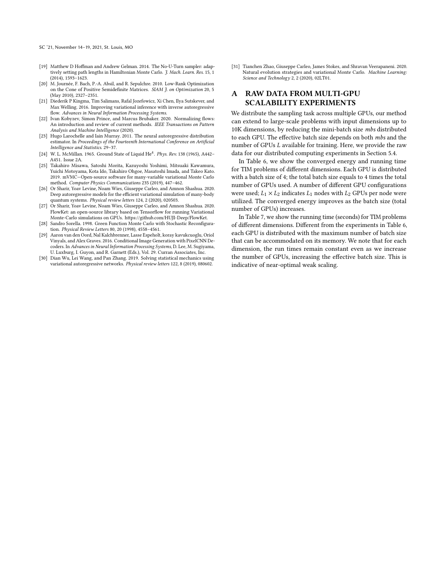SC '21, November 14–19, 2021, St. Louis, MO

- <span id="page-9-3"></span>[19] Matthew D Hoffman and Andrew Gelman. 2014. The No-U-Turn sampler: adaptively setting path lengths in Hamiltonian Monte Carlo. J. Mach. Learn. Res. 15, 1 (2014), 1593–1623.
- <span id="page-9-12"></span>[20] M. Journée, F. Bach, P.-A. Absil, and R. Sepulchre. 2010. Low-Rank Optimization on the Cone of Positive Semidefinite Matrices. SIAM J. on Optimization 20, 5 (May 2010), 2327–2351.
- <span id="page-9-10"></span>[21] Diederik P Kingma, Tim Salimans, Rafal Jozefowicz, Xi Chen, Ilya Sutskever, and Max Welling. 2016. Improving variational inference with inverse autoregressive flow. Advances in Neural Information Processing Systems.
- <span id="page-9-11"></span>[22] Ivan Kobyzev, Simon Prince, and Marcus Brubaker. 2020. Normalizing flows: An introduction and review of current methods. IEEE Transactions on Pattern Analysis and Machine Intelligence (2020).
- <span id="page-9-9"></span>[23] Hugo Larochelle and Iain Murray. 2011. The neural autoregressive distribution estimator. In Proceedings of the Fourteenth International Conference on Artificial Intelligence and Statistics. 29–37.
- <span id="page-9-0"></span>[24] W. L. McMillan. 1965. Ground State of Liquid He<sup>4</sup>. Phys. Rev. 138 (1965), A442-A451. Issue 2A.
- <span id="page-9-8"></span>[25] Takahiro Misawa, Satoshi Morita, Kazuyoshi Yoshimi, Mitsuaki Kawamura, Yuichi Motoyama, Kota Ido, Takahiro Ohgoe, Masatoshi Imada, and Takeo Kato. 2019. mVMC—Open-source software for many-variable variational Monte Carlo method. Computer Physics Communications 235 (2019), 447–462.
- <span id="page-9-1"></span>[26] Or Sharir, Yoav Levine, Noam Wies, Giuseppe Carleo, and Amnon Shashua. 2020. Deep autoregressive models for the efficient variational simulation of many-body quantum systems. Physical review letters 124, 2 (2020), 020503.
- <span id="page-9-5"></span>[27] Or Sharir, Yoav Levine, Noam Wies, Giuseppe Carleo, and Amnon Shashua. 2020. FlowKet: an open-source library based on Tensorflow for running Variational Monte-Carlo simulations on GPUs. [https://github.com/HUJI-Deep/FlowKet.](https://github.com/HUJI-Deep/FlowKet)
- <span id="page-9-2"></span>[28] Sandro Sorella. 1998. Green Function Monte Carlo with Stochastic Reconfiguration. Physical Review Letters 80, 20 (1998), 4558–4561.
- <span id="page-9-6"></span>[29] Aaron van den Oord, Nal Kalchbrenner, Lasse Espeholt, koray kavukcuoglu, Oriol Vinyals, and Alex Graves. 2016. Conditional Image Generation with PixelCNN Decoders. In Advances in Neural Information Processing Systems, D. Lee, M. Sugiyama, U. Luxburg, I. Guyon, and R. Garnett (Eds.), Vol. 29. Curran Associates, Inc.
- <span id="page-9-7"></span>[30] Dian Wu, Lei Wang, and Pan Zhang. 2019. Solving statistical mechanics using variational autoregressive networks. Physical review letters 122, 8 (2019), 080602.

<span id="page-9-4"></span>[31] Tianchen Zhao, Giuseppe Carleo, James Stokes, and Shravan Veerapaneni. 2020. Natural evolution strategies and variational Monte Carlo. Machine Learning: Science and Technology 2, 2 (2020), 02LT01.

# A RAW DATA FROM MULTI-GPU SCALABILITY EXPERIMENTS

We distribute the sampling task across multiple GPUs, our method can extend to large-scale problems with input dimensions up to 10K dimensions, by reducing the mini-batch size mbs distributed to each GPU. The effective batch size depends on both mbs and the number of GPUs  $L$  available for training. Here, we provide the raw data for our distributed computing experiments in Section [5.4.](#page-6-0)

In Table [6,](#page-10-0) we show the converged energy and running time for TIM problems of different dimensions. Each GPU is distributed with a batch size of 4; the total batch size equals to 4 times the total number of GPUs used. A number of different GPU configurations were used;  $L_1 \times L_2$  indicates  $L_1$  nodes with  $L_2$  GPUs per node were utilized. The converged energy improves as the batch size (total number of GPUs) increases.

In Table [7,](#page-10-1) we show the running time (seconds) for TIM problems of different dimensions. Different from the experiments in Table [6,](#page-10-0) each GPU is distributed with the maximum number of batch size that can be accommodated on its memory. We note that for each dimension, the run times remain constant even as we increase the number of GPUs, increasing the effective batch size. This is indicative of near-optimal weak scaling.